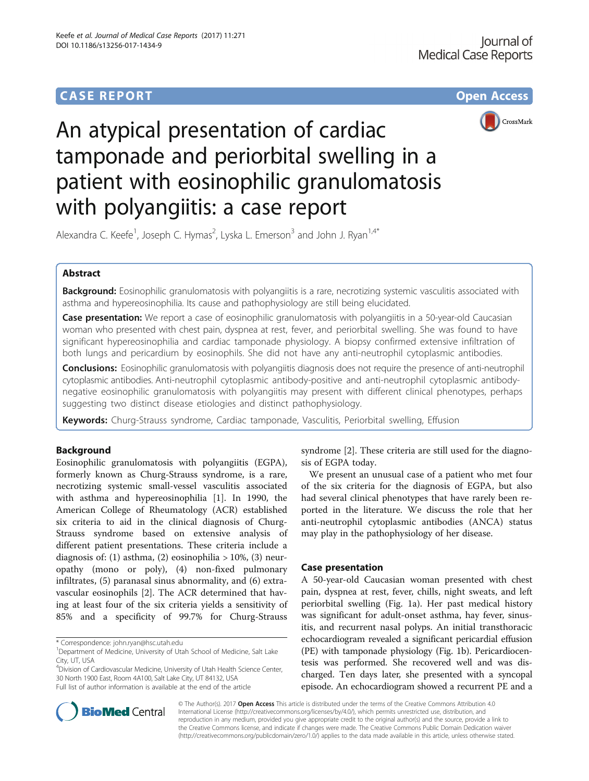# **CASE REPORT CASE REPORT CASE REPORT**



# An atypical presentation of cardiac tamponade and periorbital swelling in a patient with eosinophilic granulomatosis with polyangiitis: a case report

Alexandra C. Keefe<sup>1</sup>, Joseph C. Hymas<sup>2</sup>, Lyska L. Emerson<sup>3</sup> and John J. Ryan<sup>1,4\*</sup>

# Abstract

Background: Eosinophilic granulomatosis with polyangiitis is a rare, necrotizing systemic vasculitis associated with asthma and hypereosinophilia. Its cause and pathophysiology are still being elucidated.

Case presentation: We report a case of eosinophilic granulomatosis with polyangiitis in a 50-year-old Caucasian woman who presented with chest pain, dyspnea at rest, fever, and periorbital swelling. She was found to have significant hypereosinophilia and cardiac tamponade physiology. A biopsy confirmed extensive infiltration of both lungs and pericardium by eosinophils. She did not have any anti-neutrophil cytoplasmic antibodies.

**Conclusions:** Eosinophilic granulomatosis with polyangiitis diagnosis does not require the presence of anti-neutrophil cytoplasmic antibodies. Anti-neutrophil cytoplasmic antibody-positive and anti-neutrophil cytoplasmic antibodynegative eosinophilic granulomatosis with polyangiitis may present with different clinical phenotypes, perhaps suggesting two distinct disease etiologies and distinct pathophysiology.

Keywords: Churg-Strauss syndrome, Cardiac tamponade, Vasculitis, Periorbital swelling, Effusion

# Background

Eosinophilic granulomatosis with polyangiitis (EGPA), formerly known as Churg-Strauss syndrome, is a rare, necrotizing systemic small-vessel vasculitis associated with asthma and hypereosinophilia [[1\]](#page-2-0). In 1990, the American College of Rheumatology (ACR) established six criteria to aid in the clinical diagnosis of Churg-Strauss syndrome based on extensive analysis of different patient presentations. These criteria include a diagnosis of: (1) asthma, (2) eosinophilia  $> 10\%$ , (3) neuropathy (mono or poly), (4) non-fixed pulmonary infiltrates, (5) paranasal sinus abnormality, and (6) extravascular eosinophils [\[2\]](#page-2-0). The ACR determined that having at least four of the six criteria yields a sensitivity of 85% and a specificity of 99.7% for Churg-Strauss

4 Division of Cardiovascular Medicine, University of Utah Health Science Center, 30 North 1900 East, Room 4A100, Salt Lake City, UT 84132, USA Full list of author information is available at the end of the article

syndrome [[2\]](#page-2-0). These criteria are still used for the diagnosis of EGPA today.

We present an unusual case of a patient who met four of the six criteria for the diagnosis of EGPA, but also had several clinical phenotypes that have rarely been reported in the literature. We discuss the role that her anti-neutrophil cytoplasmic antibodies (ANCA) status may play in the pathophysiology of her disease.

# Case presentation

A 50-year-old Caucasian woman presented with chest pain, dyspnea at rest, fever, chills, night sweats, and left periorbital swelling (Fig. [1a\)](#page-1-0). Her past medical history was significant for adult-onset asthma, hay fever, sinusitis, and recurrent nasal polyps. An initial transthoracic echocardiogram revealed a significant pericardial effusion (PE) with tamponade physiology (Fig. [1b\)](#page-1-0). Pericardiocentesis was performed. She recovered well and was discharged. Ten days later, she presented with a syncopal episode. An echocardiogram showed a recurrent PE and a



© The Author(s). 2017 Open Access This article is distributed under the terms of the Creative Commons Attribution 4.0 International License [\(http://creativecommons.org/licenses/by/4.0/](http://creativecommons.org/licenses/by/4.0/)), which permits unrestricted use, distribution, and reproduction in any medium, provided you give appropriate credit to the original author(s) and the source, provide a link to the Creative Commons license, and indicate if changes were made. The Creative Commons Public Domain Dedication waiver [\(http://creativecommons.org/publicdomain/zero/1.0/](http://creativecommons.org/publicdomain/zero/1.0/)) applies to the data made available in this article, unless otherwise stated.

<sup>\*</sup> Correspondence: [john.ryan@hsc.utah.edu](mailto:john.ryan@hsc.utah.edu) <sup>1</sup>

<sup>&</sup>lt;sup>1</sup>Department of Medicine, University of Utah School of Medicine, Salt Lake City, UT, USA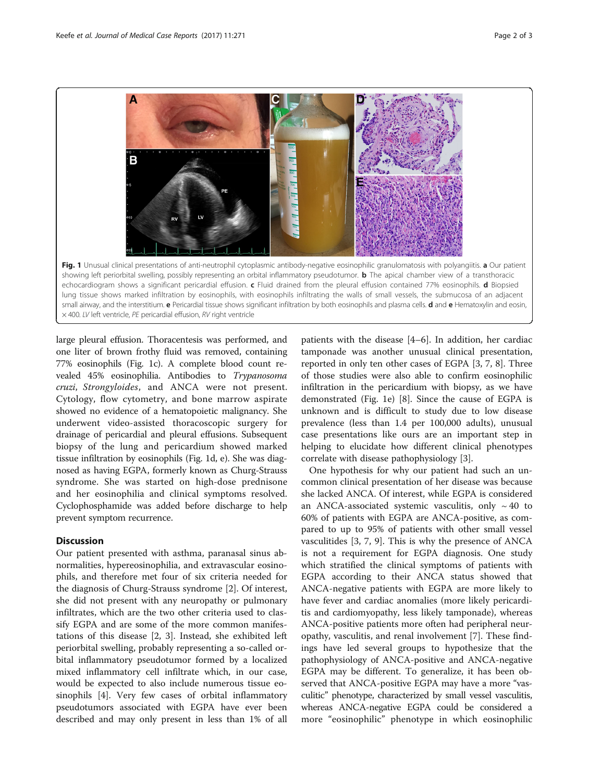<span id="page-1-0"></span>

large pleural effusion. Thoracentesis was performed, and one liter of brown frothy fluid was removed, containing 77% eosinophils (Fig. 1c). A complete blood count revealed 45% eosinophilia. Antibodies to Trypanosoma cruzi, Strongyloides, and ANCA were not present. Cytology, flow cytometry, and bone marrow aspirate showed no evidence of a hematopoietic malignancy. She underwent video-assisted thoracoscopic surgery for drainage of pericardial and pleural effusions. Subsequent biopsy of the lung and pericardium showed marked tissue infiltration by eosinophils (Fig. 1d, e). She was diagnosed as having EGPA, formerly known as Churg-Strauss syndrome. She was started on high-dose prednisone and her eosinophilia and clinical symptoms resolved. Cyclophosphamide was added before discharge to help prevent symptom recurrence.

# **Discussion**

Our patient presented with asthma, paranasal sinus abnormalities, hypereosinophilia, and extravascular eosinophils, and therefore met four of six criteria needed for the diagnosis of Churg-Strauss syndrome [\[2](#page-2-0)]. Of interest, she did not present with any neuropathy or pulmonary infiltrates, which are the two other criteria used to classify EGPA and are some of the more common manifestations of this disease [\[2, 3](#page-2-0)]. Instead, she exhibited left periorbital swelling, probably representing a so-called orbital inflammatory pseudotumor formed by a localized mixed inflammatory cell infiltrate which, in our case, would be expected to also include numerous tissue eosinophils [[4\]](#page-2-0). Very few cases of orbital inflammatory pseudotumors associated with EGPA have ever been described and may only present in less than 1% of all

patients with the disease [\[4](#page-2-0)–[6\]](#page-2-0). In addition, her cardiac tamponade was another unusual clinical presentation, reported in only ten other cases of EGPA [[3, 7, 8\]](#page-2-0). Three of those studies were also able to confirm eosinophilic infiltration in the pericardium with biopsy, as we have demonstrated (Fig. 1e) [[8\]](#page-2-0). Since the cause of EGPA is unknown and is difficult to study due to low disease prevalence (less than 1.4 per 100,000 adults), unusual case presentations like ours are an important step in helping to elucidate how different clinical phenotypes correlate with disease pathophysiology [\[3](#page-2-0)].

One hypothesis for why our patient had such an uncommon clinical presentation of her disease was because she lacked ANCA. Of interest, while EGPA is considered an ANCA-associated systemic vasculitis, only  $\sim$  40 to 60% of patients with EGPA are ANCA-positive, as compared to up to 95% of patients with other small vessel vasculitides [[3, 7](#page-2-0), [9\]](#page-2-0). This is why the presence of ANCA is not a requirement for EGPA diagnosis. One study which stratified the clinical symptoms of patients with EGPA according to their ANCA status showed that ANCA-negative patients with EGPA are more likely to have fever and cardiac anomalies (more likely pericarditis and cardiomyopathy, less likely tamponade), whereas ANCA-positive patients more often had peripheral neuropathy, vasculitis, and renal involvement [\[7](#page-2-0)]. These findings have led several groups to hypothesize that the pathophysiology of ANCA-positive and ANCA-negative EGPA may be different. To generalize, it has been observed that ANCA-positive EGPA may have a more "vasculitic" phenotype, characterized by small vessel vasculitis, whereas ANCA-negative EGPA could be considered a more "eosinophilic" phenotype in which eosinophilic